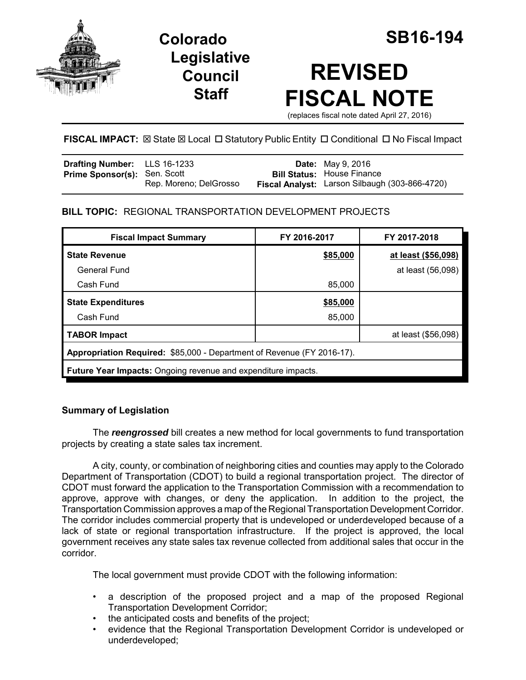

**Legislative Council Staff**

# **REVISED FISCAL NOTE**

(replaces fiscal note dated April 27, 2016)

# FISCAL IMPACT:  $\boxtimes$  State  $\boxtimes$  Local  $\Box$  Statutory Public Entity  $\Box$  Conditional  $\Box$  No Fiscal Impact

| <b>Drafting Number:</b> LLS 16-1233 |                        | <b>Date:</b> May 9, 2016                       |
|-------------------------------------|------------------------|------------------------------------------------|
| <b>Prime Sponsor(s): Sen. Scott</b> |                        | <b>Bill Status: House Finance</b>              |
|                                     | Rep. Moreno; DelGrosso | Fiscal Analyst: Larson Silbaugh (303-866-4720) |

# **BILL TOPIC:** REGIONAL TRANSPORTATION DEVELOPMENT PROJECTS

| <b>Fiscal Impact Summary</b>                                           | FY 2016-2017 | FY 2017-2018        |  |  |
|------------------------------------------------------------------------|--------------|---------------------|--|--|
| <b>State Revenue</b>                                                   | \$85,000     | at least (\$56,098) |  |  |
| General Fund                                                           |              | at least (56,098)   |  |  |
| Cash Fund                                                              | 85,000       |                     |  |  |
| <b>State Expenditures</b>                                              | \$85,000     |                     |  |  |
| Cash Fund                                                              | 85,000       |                     |  |  |
| <b>TABOR Impact</b>                                                    |              | at least (\$56,098) |  |  |
| Appropriation Required: \$85,000 - Department of Revenue (FY 2016-17). |              |                     |  |  |
| Future Year Impacts: Ongoing revenue and expenditure impacts.          |              |                     |  |  |

## **Summary of Legislation**

The *reengrossed* bill creates a new method for local governments to fund transportation projects by creating a state sales tax increment.

A city, county, or combination of neighboring cities and counties may apply to the Colorado Department of Transportation (CDOT) to build a regional transportation project. The director of CDOT must forward the application to the Transportation Commission with a recommendation to approve, approve with changes, or deny the application. In addition to the project, the Transportation Commission approves a map of the Regional Transportation Development Corridor. The corridor includes commercial property that is undeveloped or underdeveloped because of a lack of state or regional transportation infrastructure. If the project is approved, the local government receives any state sales tax revenue collected from additional sales that occur in the corridor.

The local government must provide CDOT with the following information:

- a description of the proposed project and a map of the proposed Regional Transportation Development Corridor;
- the anticipated costs and benefits of the project;
- evidence that the Regional Transportation Development Corridor is undeveloped or underdeveloped;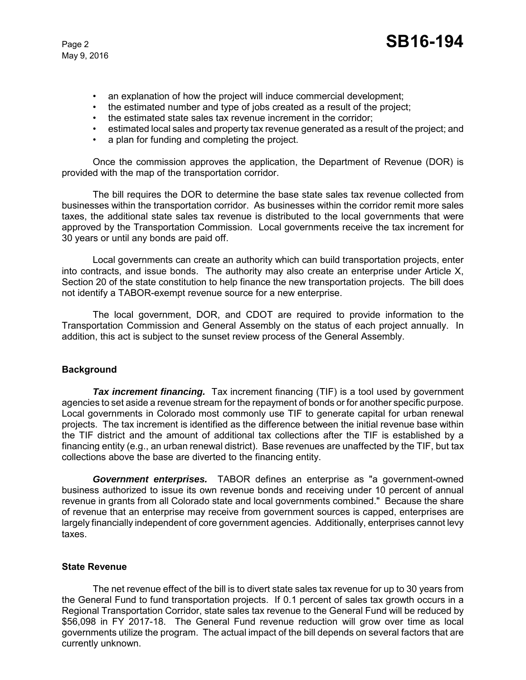- an explanation of how the project will induce commercial development;
- the estimated number and type of jobs created as a result of the project;
- the estimated state sales tax revenue increment in the corridor;
- estimated local sales and property tax revenue generated as a result of the project; and
- a plan for funding and completing the project.

Once the commission approves the application, the Department of Revenue (DOR) is provided with the map of the transportation corridor.

The bill requires the DOR to determine the base state sales tax revenue collected from businesses within the transportation corridor. As businesses within the corridor remit more sales taxes, the additional state sales tax revenue is distributed to the local governments that were approved by the Transportation Commission. Local governments receive the tax increment for 30 years or until any bonds are paid off.

Local governments can create an authority which can build transportation projects, enter into contracts, and issue bonds. The authority may also create an enterprise under Article X, Section 20 of the state constitution to help finance the new transportation projects. The bill does not identify a TABOR-exempt revenue source for a new enterprise.

The local government, DOR, and CDOT are required to provide information to the Transportation Commission and General Assembly on the status of each project annually. In addition, this act is subject to the sunset review process of the General Assembly.

## **Background**

**Tax increment financing.** Tax increment financing (TIF) is a tool used by government agencies to set aside a revenue stream for the repayment of bonds or for another specific purpose. Local governments in Colorado most commonly use TIF to generate capital for urban renewal projects. The tax increment is identified as the difference between the initial revenue base within the TIF district and the amount of additional tax collections after the TIF is established by a financing entity (e.g., an urban renewal district). Base revenues are unaffected by the TIF, but tax collections above the base are diverted to the financing entity.

*Government enterprises.* TABOR defines an enterprise as "a government-owned business authorized to issue its own revenue bonds and receiving under 10 percent of annual revenue in grants from all Colorado state and local governments combined." Because the share of revenue that an enterprise may receive from government sources is capped, enterprises are largely financially independent of core government agencies. Additionally, enterprises cannot levy taxes.

#### **State Revenue**

The net revenue effect of the bill is to divert state sales tax revenue for up to 30 years from the General Fund to fund transportation projects. If 0.1 percent of sales tax growth occurs in a Regional Transportation Corridor, state sales tax revenue to the General Fund will be reduced by \$56,098 in FY 2017-18. The General Fund revenue reduction will grow over time as local governments utilize the program. The actual impact of the bill depends on several factors that are currently unknown.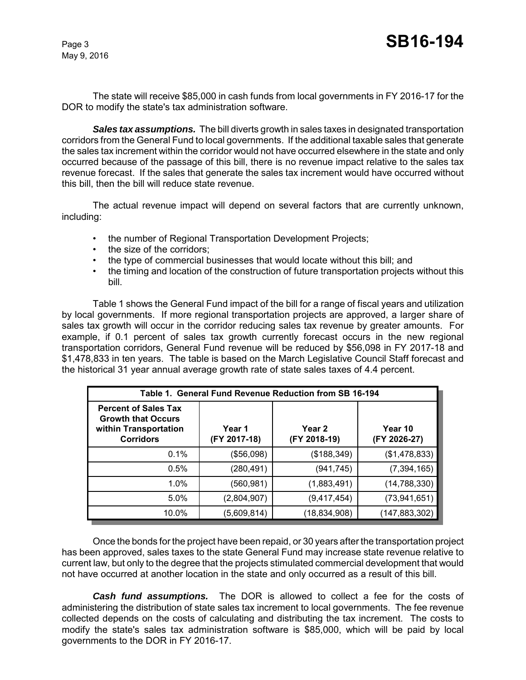The state will receive \$85,000 in cash funds from local governments in FY 2016-17 for the DOR to modify the state's tax administration software.

*Sales tax assumptions.* The bill diverts growth in sales taxes in designated transportation corridors from the General Fund to local governments. If the additional taxable sales that generate the sales tax increment within the corridor would not have occurred elsewhere in the state and only occurred because of the passage of this bill, there is no revenue impact relative to the sales tax revenue forecast. If the sales that generate the sales tax increment would have occurred without this bill, then the bill will reduce state revenue.

The actual revenue impact will depend on several factors that are currently unknown, including:

- the number of Regional Transportation Development Projects;
- the size of the corridors;
- the type of commercial businesses that would locate without this bill; and
- the timing and location of the construction of future transportation projects without this bill.

Table 1 shows the General Fund impact of the bill for a range of fiscal years and utilization by local governments. If more regional transportation projects are approved, a larger share of sales tax growth will occur in the corridor reducing sales tax revenue by greater amounts. For example, if 0.1 percent of sales tax growth currently forecast occurs in the new regional transportation corridors, General Fund revenue will be reduced by \$56,098 in FY 2017-18 and \$1,478,833 in ten years. The table is based on the March Legislative Council Staff forecast and the historical 31 year annual average growth rate of state sales taxes of 4.4 percent.

| Table 1. General Fund Revenue Reduction from SB 16-194                                                |                        |                        |                         |  |  |
|-------------------------------------------------------------------------------------------------------|------------------------|------------------------|-------------------------|--|--|
| <b>Percent of Sales Tax</b><br><b>Growth that Occurs</b><br>within Transportation<br><b>Corridors</b> | Year 1<br>(FY 2017-18) | Year 2<br>(FY 2018-19) | Year 10<br>(FY 2026-27) |  |  |
| 0.1%                                                                                                  | (\$56,098)             | (\$188,349)            | (\$1,478,833)           |  |  |
| 0.5%                                                                                                  | (280,491)              | (941,745)              | (7, 394, 165)           |  |  |
| 1.0%                                                                                                  | (560,981)              | (1,883,491)            | (14, 788, 330)          |  |  |
| 5.0%                                                                                                  | (2,804,907)            | (9, 417, 454)          | (73, 941, 651)          |  |  |
| 10.0%                                                                                                 | (5,609,814)            | (18,834,908)           | (147,883,302)           |  |  |

Once the bonds for the project have been repaid, or 30 years after the transportation project has been approved, sales taxes to the state General Fund may increase state revenue relative to current law, but only to the degree that the projects stimulated commercial development that would not have occurred at another location in the state and only occurred as a result of this bill.

**Cash fund assumptions.** The DOR is allowed to collect a fee for the costs of administering the distribution of state sales tax increment to local governments. The fee revenue collected depends on the costs of calculating and distributing the tax increment.The costs to modify the state's sales tax administration software is \$85,000, which will be paid by local governments to the DOR in FY 2016-17.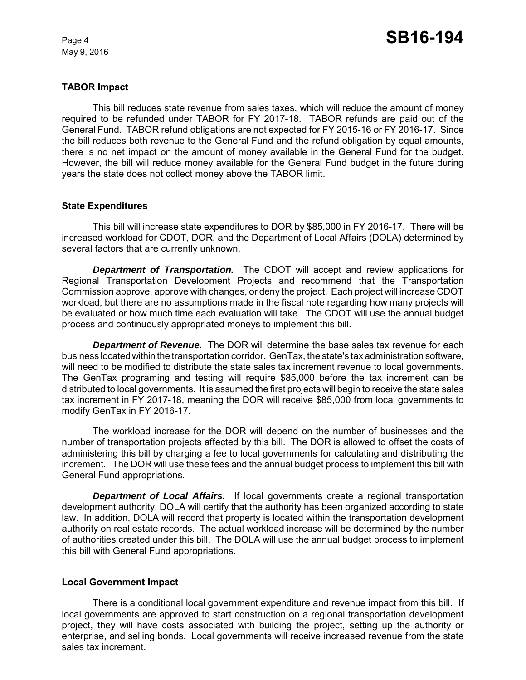## **TABOR Impact**

This bill reduces state revenue from sales taxes, which will reduce the amount of money required to be refunded under TABOR for FY 2017-18. TABOR refunds are paid out of the General Fund. TABOR refund obligations are not expected for FY 2015-16 or FY 2016-17. Since the bill reduces both revenue to the General Fund and the refund obligation by equal amounts, there is no net impact on the amount of money available in the General Fund for the budget. However, the bill will reduce money available for the General Fund budget in the future during years the state does not collect money above the TABOR limit.

#### **State Expenditures**

This bill will increase state expenditures to DOR by \$85,000 in FY 2016-17. There will be increased workload for CDOT, DOR, and the Department of Local Affairs (DOLA) determined by several factors that are currently unknown.

*Department of Transportation.* The CDOT will accept and review applications for Regional Transportation Development Projects and recommend that the Transportation Commission approve, approve with changes, or deny the project. Each project will increase CDOT workload, but there are no assumptions made in the fiscal note regarding how many projects will be evaluated or how much time each evaluation will take. The CDOT will use the annual budget process and continuously appropriated moneys to implement this bill.

*Department of Revenue.* The DOR will determine the base sales tax revenue for each business located within the transportation corridor. GenTax, the state's tax administration software, will need to be modified to distribute the state sales tax increment revenue to local governments. The GenTax programing and testing will require \$85,000 before the tax increment can be distributed to local governments. It is assumed the first projects will begin to receive the state sales tax increment in FY 2017-18, meaning the DOR will receive \$85,000 from local governments to modify GenTax in FY 2016-17.

The workload increase for the DOR will depend on the number of businesses and the number of transportation projects affected by this bill. The DOR is allowed to offset the costs of administering this bill by charging a fee to local governments for calculating and distributing the increment. The DOR will use these fees and the annual budget process to implement this bill with General Fund appropriations.

*Department of Local Affairs.* If local governments create a regional transportation development authority, DOLA will certify that the authority has been organized according to state law. In addition, DOLA will record that property is located within the transportation development authority on real estate records. The actual workload increase will be determined by the number of authorities created under this bill. The DOLA will use the annual budget process to implement this bill with General Fund appropriations.

#### **Local Government Impact**

There is a conditional local government expenditure and revenue impact from this bill. If local governments are approved to start construction on a regional transportation development project, they will have costs associated with building the project, setting up the authority or enterprise, and selling bonds. Local governments will receive increased revenue from the state sales tax increment.